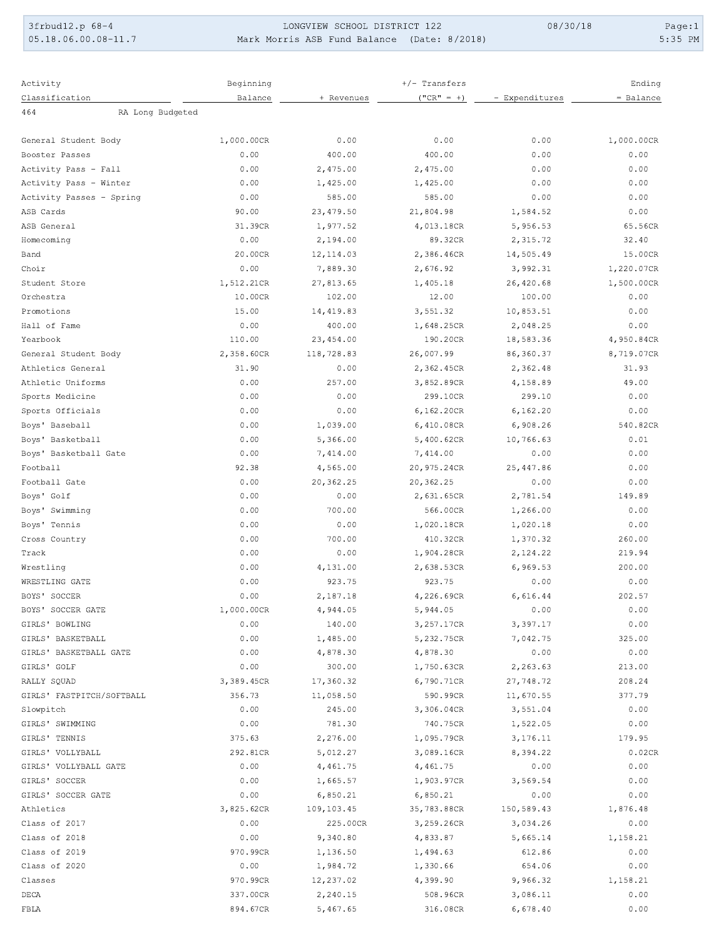3frbud12.p 68-4  $05.18.06.00.08 - 11.7$ 

LONGVIEW SCHOOL DISTRICT 122 Mark Morris ASB Fund Balance (Date: 8/2018) 08/30/18

Page:1  $5:35$  PM

| Activity                    | Beginning  |                    | $+/-$ Transfers      |                  | Ending     |
|-----------------------------|------------|--------------------|----------------------|------------------|------------|
| Classification              | Balance    | + Revenues         | $("CR" = +)$         | - Expenditures   | = Balance  |
| 464<br>RA Long Budgeted     |            |                    |                      |                  |            |
|                             |            |                    |                      |                  |            |
| General Student Body        | 1,000.00CR | 0.00               | 0.00                 | 0.00             | 1,000.00CR |
| Booster Passes              | 0.00       | 400.00             | 400.00               | 0.00             | 0.00       |
| Activity Pass - Fall        | 0.00       | 2,475.00           | 2,475.00             | 0.00             | 0.00       |
| Activity Pass - Winter      | 0.00       | 1,425.00           | 1,425.00             | 0.00             | 0.00       |
| Activity Passes - Spring    | 0.00       | 585.00             | 585.00               | 0.00             | 0.00       |
| ASB Cards                   | 90.00      | 23,479.50          | 21,804.98            | 1,584.52         | 0.00       |
| ASB General                 | 31.39CR    | 1,977.52           | 4,013.18CR           | 5,956.53         | 65.56CR    |
| Homecoming                  | 0.00       | 2,194.00           | 89.32CR              | 2,315.72         | 32.40      |
| Band                        | 20.00CR    | 12, 114.03         | 2,386.46CR           | 14,505.49        | 15.00CR    |
| Choir                       | 0.00       | 7,889.30           | 2,676.92             | 3,992.31         | 1,220.07CR |
| Student Store               | 1,512.21CR | 27,813.65          | 1,405.18             | 26,420.68        | 1,500.00CR |
| Orchestra                   | 10.00CR    | 102.00             | 12.00                | 100.00           | 0.00       |
| Promotions                  | 15.00      | 14,419.83          | 3,551.32             | 10,853.51        | 0.00       |
| Hall of Fame                | 0.00       | 400.00             | 1,648.25CR           | 2,048.25         | 0.00       |
| Yearbook                    | 110.00     | 23,454.00          | 190.20CR             | 18,583.36        | 4,950.84CR |
| General Student Body        | 2,358.60CR | 118,728.83         | 26,007.99            | 86,360.37        | 8,719.07CR |
| Athletics General           | 31.90      | 0.00               | 2,362.45CR           | 2,362.48         | 31.93      |
| Athletic Uniforms           | 0.00       | 257.00             | 3,852.89CR           | 4,158.89         | 49.00      |
| Sports Medicine             | 0.00       | 0.00               | 299.10CR             | 299.10           | 0.00       |
| Sports Officials            | 0.00       | 0.00               | 6,162.20CR           | 6, 162.20        | 0.00       |
| Boys' Baseball              | 0.00       | 1,039.00           | 6,410.08CR           | 6,908.26         | 540.82CR   |
| Boys' Basketball            | 0.00       | 5,366.00           | 5,400.62CR           | 10,766.63        | 0.01       |
| Boys' Basketball Gate       | 0.00       | 7,414.00           | 7,414.00             | 0.00             | 0.00       |
| Football                    | 92.38      | 4,565.00           | 20,975.24CR          | 25, 447.86       | 0.00       |
| Football Gate               | 0.00       | 20,362.25          | 20,362.25            | 0.00             | 0.00       |
| Boys' Golf                  | 0.00       | 0.00               | 2,631.65CR           | 2,781.54         | 149.89     |
| Boys' Swimming              | 0.00       | 700.00             | 566.00CR             | 1,266.00         | 0.00       |
| Boys' Tennis                | 0.00       | 0.00               | 1,020.18CR           | 1,020.18         | 0.00       |
| Cross Country               | 0.00       | 700.00             | 410.32CR             | 1,370.32         | 260.00     |
| Track                       | 0.00       | 0.00               | 1,904.28CR           | 2,124.22         | 219.94     |
|                             |            |                    |                      |                  | 200.00     |
| Wrestling<br>WRESTLING GATE | 0.00       | 4,131.00<br>923.75 | 2,638.53CR<br>923.75 | 6,969.53<br>0.00 |            |
|                             | 0.00       |                    |                      |                  | 0.00       |
| BOYS' SOCCER                | 0.00       | 2,187.18           | 4,226.69CR           | 6,616.44         | 202.57     |
| BOYS' SOCCER GATE           | 1,000.00CR | 4,944.05           | 5,944.05             | 0.00             | 0.00       |
| GIRLS' BOWLING              | 0.00       | 140.00             | 3,257.17CR           | 3,397.17         | 0.00       |
| GIRLS' BASKETBALL           | 0.00       | 1,485.00           | 5,232.75CR           | 7,042.75         | 325.00     |
| GIRLS' BASKETBALL GATE      | 0.00       | 4,878.30           | 4,878.30             | 0.00             | 0.00       |
| GIRLS' GOLF                 | 0.00       | 300.00             | 1,750.63CR           | 2,263.63         | 213.00     |
| RALLY SQUAD                 | 3,389.45CR | 17,360.32          | 6,790.71CR           | 27,748.72        | 208.24     |
| GIRLS' FASTPITCH/SOFTBALL   | 356.73     | 11,058.50          | 590.99CR             | 11,670.55        | 377.79     |
| Slowpitch                   | 0.00       | 245.00             | 3,306.04CR           | 3,551.04         | 0.00       |
| GIRLS' SWIMMING             | 0.00       | 781.30             | 740.75CR             | 1,522.05         | 0.00       |
| GIRLS' TENNIS               | 375.63     | 2,276.00           | 1,095.79CR           | 3,176.11         | 179.95     |
| GIRLS' VOLLYBALL            | 292.81CR   | 5,012.27           | 3,089.16CR           | 8,394.22         | 0.02CR     |
| GIRLS' VOLLYBALL GATE       | 0.00       | 4,461.75           | 4,461.75             | 0.00             | 0.00       |
| GIRLS' SOCCER               | 0.00       | 1,665.57           | 1,903.97CR           | 3,569.54         | 0.00       |
| GIRLS' SOCCER GATE          | 0.00       | 6,850.21           | 6,850.21             | 0.00             | 0.00       |
| Athletics                   | 3,825.62CR | 109, 103.45        | 35,783.88CR          | 150,589.43       | 1,876.48   |
| Class of 2017               | 0.00       | 225.00CR           | 3,259.26CR           | 3,034.26         | 0.00       |
| Class of 2018               | 0.00       | 9,340.80           | 4,833.87             | 5,665.14         | 1,158.21   |
| Class of 2019               | 970.99CR   | 1,136.50           | 1,494.63             | 612.86           | 0.00       |
| Class of 2020               | 0.00       | 1,984.72           | 1,330.66             | 654.06           | 0.00       |
| Classes                     | 970.99CR   | 12,237.02          | 4,399.90             | 9,966.32         | 1,158.21   |
| DECA                        | 337.00CR   | 2,240.15           | 508.96CR             | 3,086.11         | 0.00       |
| FBLA                        | 894.67CR   | 5,467.65           | 316.08CR             | 6,678.40         | 0.00       |